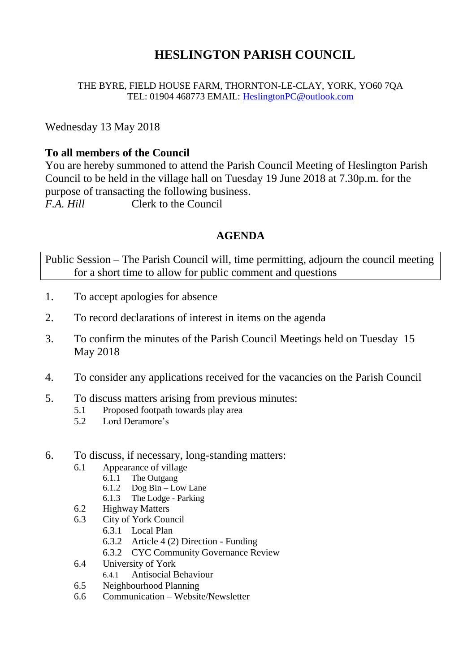# **HESLINGTON PARISH COUNCIL**

THE BYRE, FIELD HOUSE FARM, THORNTON-LE-CLAY, YORK, YO60 7QA TEL: 01904 468773 EMAIL: [HeslingtonPC@outlook.com](mailto:HeslingtonPC@outlook.com)

Wednesday 13 May 2018

### **To all members of the Council**

You are hereby summoned to attend the Parish Council Meeting of Heslington Parish Council to be held in the village hall on Tuesday 19 June 2018 at 7.30p.m. for the purpose of transacting the following business. *F.A. Hill* Clerk to the Council

# **AGENDA**

Public Session – The Parish Council will, time permitting, adjourn the council meeting for a short time to allow for public comment and questions

- 1. To accept apologies for absence
- 2. To record declarations of interest in items on the agenda
- 3. To confirm the minutes of the Parish Council Meetings held on Tuesday 15 May 2018
- 4. To consider any applications received for the vacancies on the Parish Council
- 5. To discuss matters arising from previous minutes:
	- 5.1 Proposed footpath towards play area
	- 5.2 Lord Deramore's
- 6. To discuss, if necessary, long-standing matters:
	- 6.1 Appearance of village
		- 6.1.1 The Outgang
		- 6.1.2 Dog Bin Low Lane
		- 6.1.3 The Lodge Parking
	- 6.2 Highway Matters
	- 6.3 City of York Council
		- 6.3.1 Local Plan
		- 6.3.2 Article 4 (2) Direction Funding
		- 6.3.2 CYC Community Governance Review
	- 6.4 University of York
		- 6.4.1 Antisocial Behaviour
	- 6.5 Neighbourhood Planning
	- 6.6 Communication Website/Newsletter